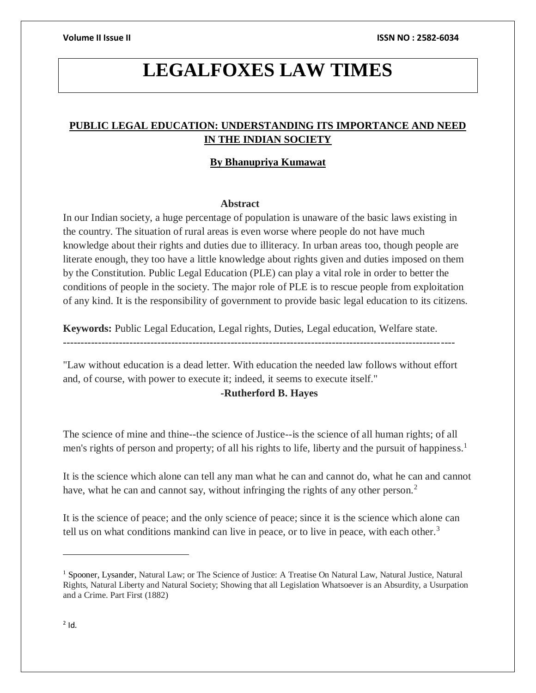# **LEGALFOXES LAW TIMES**

# **PUBLIC LEGAL EDUCATION: UNDERSTANDING ITS IMPORTANCE AND NEED IN THE INDIAN SOCIETY**

# **By Bhanupriya Kumawat**

# **Abstract**

In our Indian society, a huge percentage of population is unaware of the basic laws existing in the country. The situation of rural areas is even worse where people do not have much knowledge about their rights and duties due to illiteracy. In urban areas too, though people are literate enough, they too have a little knowledge about rights given and duties imposed on them by the Constitution. Public Legal Education (PLE) can play a vital role in order to better the conditions of people in the society. The major role of PLE is to rescue people from exploitation of any kind. It is the responsibility of government to provide basic legal education to its citizens.

**Keywords:** Public Legal Education, Legal rights, Duties, Legal education, Welfare state.

"Law without education is a dead letter. With education the needed law follows without effort and, of course, with power to execute it; indeed, it seems to execute itself."

----------------------------------------------------------------------------------------------------------------

# **-Rutherford B. Hayes**

The science of mine and thine--the science of Justice--is the science of all human rights; of all men's rights of person and property; of all his rights to life, liberty and the pursuit of happiness.<sup>1</sup>

It is the science which alone can tell any man what he can and cannot do, what he can and cannot have, what he can and cannot say, without infringing the rights of any other person.<sup>2</sup>

It is the science of peace; and the only science of peace; since it is the science which alone can tell us on what conditions mankind can live in peace, or to live in peace, with each other.<sup>3</sup>

 $\overline{a}$ 

<sup>1</sup> Spooner, Lysander, Natural Law; or The Science of Justice: A Treatise On Natural Law, Natural Justice, Natural Rights, Natural Liberty and Natural Society; Showing that all Legislation Whatsoever is an Absurdity, a Usurpation and a Crime. Part First (1882)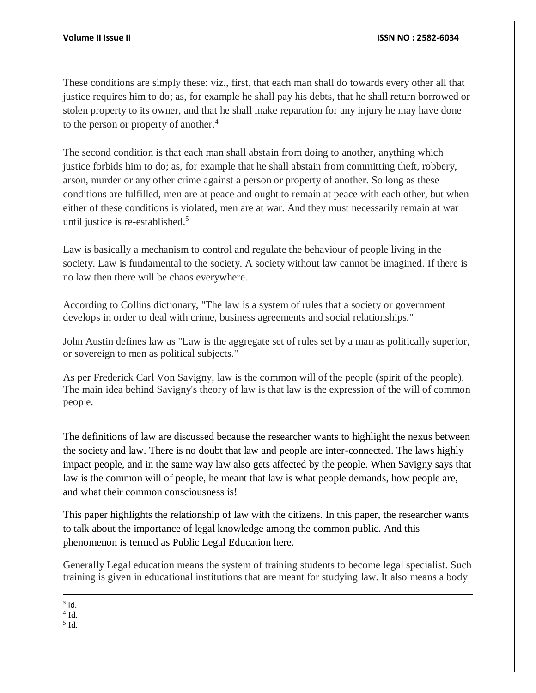These conditions are simply these: viz., first, that each man shall do towards every other all that justice requires him to do; as, for example he shall pay his debts, that he shall return borrowed or stolen property to its owner, and that he shall make reparation for any injury he may have done to the person or property of another.<sup>4</sup>

The second condition is that each man shall abstain from doing to another, anything which justice forbids him to do; as, for example that he shall abstain from committing theft, robbery, arson, murder or any other crime against a person or property of another. So long as these conditions are fulfilled, men are at peace and ought to remain at peace with each other, but when either of these conditions is violated, men are at war. And they must necessarily remain at war until justice is re-established.<sup>5</sup>

Law is basically a mechanism to control and regulate the behaviour of people living in the society. Law is fundamental to the society. A society without law cannot be imagined. If there is no law then there will be chaos everywhere.

According to Collins dictionary, "The law is a system of rules that a society or government develops in order to deal with crime, business agreements and social relationships."

John Austin defines law as "Law is the aggregate set of rules set by a man as politically superior, or sovereign to men as political subjects."

As per Frederick Carl Von Savigny, law is the common will of the people (spirit of the people). The main idea behind Savigny's theory of law is that law is the expression of the will of common people.

The definitions of law are discussed because the researcher wants to highlight the nexus between the society and law. There is no doubt that law and people are inter-connected. The laws highly impact people, and in the same way law also gets affected by the people. When Savigny says that law is the common will of people, he meant that law is what people demands, how people are, and what their common consciousness is!

This paper highlights the relationship of law with the citizens. In this paper, the researcher wants to talk about the importance of legal knowledge among the common public. And this phenomenon is termed as Public Legal Education here.

Generally Legal education means the system of training students to become legal specialist. Such training is given in educational institutions that are meant for studying law. It also means a body

 $\overline{a}$  $3$  Id.

5 Id.

 $4$  Id.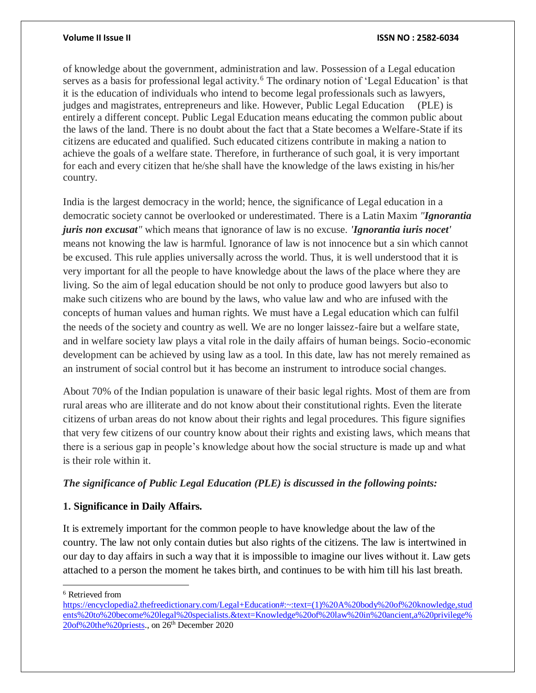### **Volume II Issue II ISSN NO : 2582-6034**

of knowledge about the government, administration and law. Possession of a Legal education serves as a basis for professional legal activity.<sup>6</sup> The ordinary notion of 'Legal Education' is that it is the education of individuals who intend to become legal professionals such as lawyers, judges and magistrates, entrepreneurs and like. However, Public Legal Education (PLE) is entirely a different concept. Public Legal Education means educating the common public about the laws of the land. There is no doubt about the fact that a State becomes a Welfare-State if its citizens are educated and qualified. Such educated citizens contribute in making a nation to achieve the goals of a welfare state. Therefore, in furtherance of such goal, it is very important for each and every citizen that he/she shall have the knowledge of the laws existing in his/her country.

India is the largest democracy in the world; hence, the significance of Legal education in a democratic society cannot be overlooked or underestimated. There is a Latin Maxim *"Ignorantia juris non excusat"* which means that ignorance of law is no excuse. *'Ignorantia iuris nocet'* means not knowing the law is harmful. Ignorance of law is not innocence but a sin which cannot be excused. This rule applies universally across the world. Thus, it is well understood that it is very important for all the people to have knowledge about the laws of the place where they are living. So the aim of legal education should be not only to produce good lawyers but also to make such citizens who are bound by the laws, who value law and who are infused with the concepts of human values and human rights. We must have a Legal education which can fulfil the needs of the society and country as well. We are no longer laissez-faire but a welfare state, and in welfare society law plays a vital role in the daily affairs of human beings. Socio-economic development can be achieved by using law as a tool. In this date, law has not merely remained as an instrument of social control but it has become an instrument to introduce social changes.

About 70% of the Indian population is unaware of their basic legal rights. Most of them are from rural areas who are illiterate and do not know about their constitutional rights. Even the literate citizens of urban areas do not know about their rights and legal procedures. This figure signifies that very few citizens of our country know about their rights and existing laws, which means that there is a serious gap in people's knowledge about how the social structure is made up and what is their role within it.

# *The significance of Public Legal Education (PLE) is discussed in the following points:*

# **1. Significance in Daily Affairs.**

It is extremely important for the common people to have knowledge about the law of the country. The law not only contain duties but also rights of the citizens. The law is intertwined in our day to day affairs in such a way that it is impossible to imagine our lives without it. Law gets attached to a person the moment he takes birth, and continues to be with him till his last breath.

 $\overline{a}$ 

<sup>6</sup> Retrieved from

[https://encyclopedia2.thefreedictionary.com/Legal+Education#:~:text=\(1\)%20A%20body%20of%20knowledge,stud](https://encyclopedia2.thefreedictionary.com/Legal+Education#:~:text=(1)%20A%20body%20of%20knowledge,students%20to%20become%20legal%20specialists.&text=Knowledge%20of%20law%20in%20ancient,a%20privilege%20of%20the%20priests) [ents%20to%20become%20legal%20specialists.&text=Knowledge%20of%20law%20in%20ancient,a%20privilege%](https://encyclopedia2.thefreedictionary.com/Legal+Education#:~:text=(1)%20A%20body%20of%20knowledge,students%20to%20become%20legal%20specialists.&text=Knowledge%20of%20law%20in%20ancient,a%20privilege%20of%20the%20priests) [20of%20the%20priests.](https://encyclopedia2.thefreedictionary.com/Legal+Education#:~:text=(1)%20A%20body%20of%20knowledge,students%20to%20become%20legal%20specialists.&text=Knowledge%20of%20law%20in%20ancient,a%20privilege%20of%20the%20priests), on 26th December 2020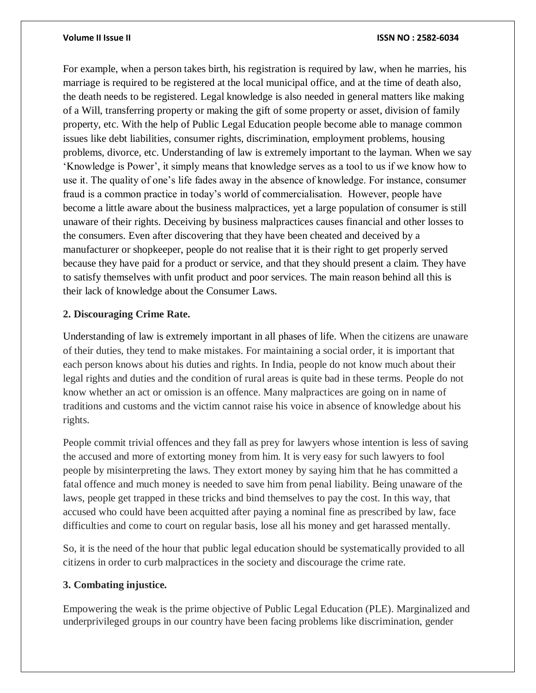### **Volume II Issue II ISSN NO : 2582-6034**

For example, when a person takes birth, his registration is required by law, when he marries, his marriage is required to be registered at the local municipal office, and at the time of death also, the death needs to be registered. Legal knowledge is also needed in general matters like making of a Will, transferring property or making the gift of some property or asset, division of family property, etc. With the help of Public Legal Education people become able to manage common issues like debt liabilities, consumer rights, discrimination, employment problems, housing problems, divorce, etc. Understanding of law is extremely important to the layman. When we say 'Knowledge is Power', it simply means that knowledge serves as a tool to us if we know how to use it. The quality of one's life fades away in the absence of knowledge. For instance, consumer fraud is a common practice in today's world of commercialisation. However, people have become a little aware about the business malpractices, yet a large population of consumer is still unaware of their rights. Deceiving by business malpractices causes financial and other losses to the consumers. Even after discovering that they have been cheated and deceived by a manufacturer or shopkeeper, people do not realise that it is their right to get properly served because they have paid for a product or service, and that they should present a claim. They have to satisfy themselves with unfit product and poor services. The main reason behind all this is their lack of knowledge about the Consumer Laws.

# **2. Discouraging Crime Rate.**

Understanding of law is extremely important in all phases of life. When the citizens are unaware of their duties, they tend to make mistakes. For maintaining a social order, it is important that each person knows about his duties and rights. In India, people do not know much about their legal rights and duties and the condition of rural areas is quite bad in these terms. People do not know whether an act or omission is an offence. Many malpractices are going on in name of traditions and customs and the victim cannot raise his voice in absence of knowledge about his rights.

People commit trivial offences and they fall as prey for lawyers whose intention is less of saving the accused and more of extorting money from him. It is very easy for such lawyers to fool people by misinterpreting the laws. They extort money by saying him that he has committed a fatal offence and much money is needed to save him from penal liability. Being unaware of the laws, people get trapped in these tricks and bind themselves to pay the cost. In this way, that accused who could have been acquitted after paying a nominal fine as prescribed by law, face difficulties and come to court on regular basis, lose all his money and get harassed mentally.

So, it is the need of the hour that public legal education should be systematically provided to all citizens in order to curb malpractices in the society and discourage the crime rate.

# **3. Combating injustice.**

Empowering the weak is the prime objective of Public Legal Education (PLE). Marginalized and underprivileged groups in our country have been facing problems like discrimination, gender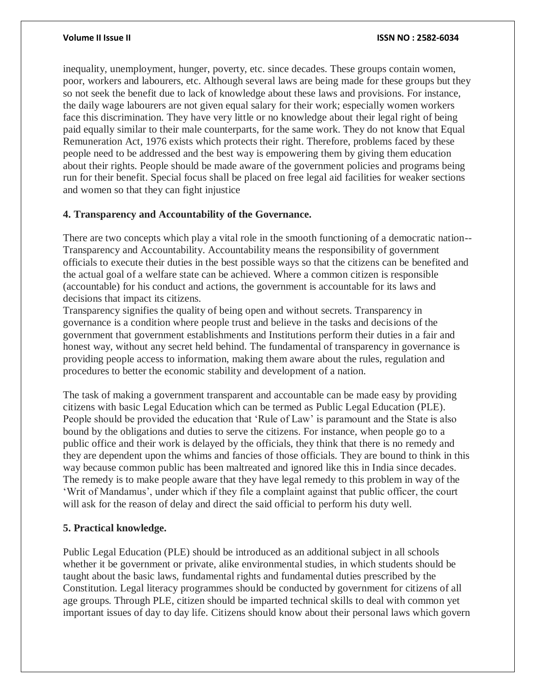### **Volume II Issue II ISSN NO : 2582-6034**

inequality, unemployment, hunger, poverty, etc. since decades. These groups contain women, poor, workers and labourers, etc. Although several laws are being made for these groups but they so not seek the benefit due to lack of knowledge about these laws and provisions. For instance, the daily wage labourers are not given equal salary for their work; especially women workers face this discrimination. They have very little or no knowledge about their legal right of being paid equally similar to their male counterparts, for the same work. They do not know that Equal Remuneration Act, 1976 exists which protects their right. Therefore, problems faced by these people need to be addressed and the best way is empowering them by giving them education about their rights. People should be made aware of the government policies and programs being run for their benefit. Special focus shall be placed on free legal aid facilities for weaker sections and women so that they can fight injustice

# **4. Transparency and Accountability of the Governance.**

There are two concepts which play a vital role in the smooth functioning of a democratic nation-- Transparency and Accountability. Accountability means the responsibility of government officials to execute their duties in the best possible ways so that the citizens can be benefited and the actual goal of a welfare state can be achieved. Where a common citizen is responsible (accountable) for his conduct and actions, the government is accountable for its laws and decisions that impact its citizens.

Transparency signifies the quality of being open and without secrets. Transparency in governance is a condition where people trust and believe in the tasks and decisions of the government that government establishments and Institutions perform their duties in a fair and honest way, without any secret held behind. The fundamental of transparency in governance is providing people access to information, making them aware about the rules, regulation and procedures to better the economic stability and development of a nation.

The task of making a government transparent and accountable can be made easy by providing citizens with basic Legal Education which can be termed as Public Legal Education (PLE). People should be provided the education that 'Rule of Law' is paramount and the State is also bound by the obligations and duties to serve the citizens. For instance, when people go to a public office and their work is delayed by the officials, they think that there is no remedy and they are dependent upon the whims and fancies of those officials. They are bound to think in this way because common public has been maltreated and ignored like this in India since decades. The remedy is to make people aware that they have legal remedy to this problem in way of the 'Writ of Mandamus', under which if they file a complaint against that public officer, the court will ask for the reason of delay and direct the said official to perform his duty well.

# **5. Practical knowledge.**

Public Legal Education (PLE) should be introduced as an additional subject in all schools whether it be government or private, alike environmental studies, in which students should be taught about the basic laws, fundamental rights and fundamental duties prescribed by the Constitution. Legal literacy programmes should be conducted by government for citizens of all age groups. Through PLE, citizen should be imparted technical skills to deal with common yet important issues of day to day life. Citizens should know about their personal laws which govern